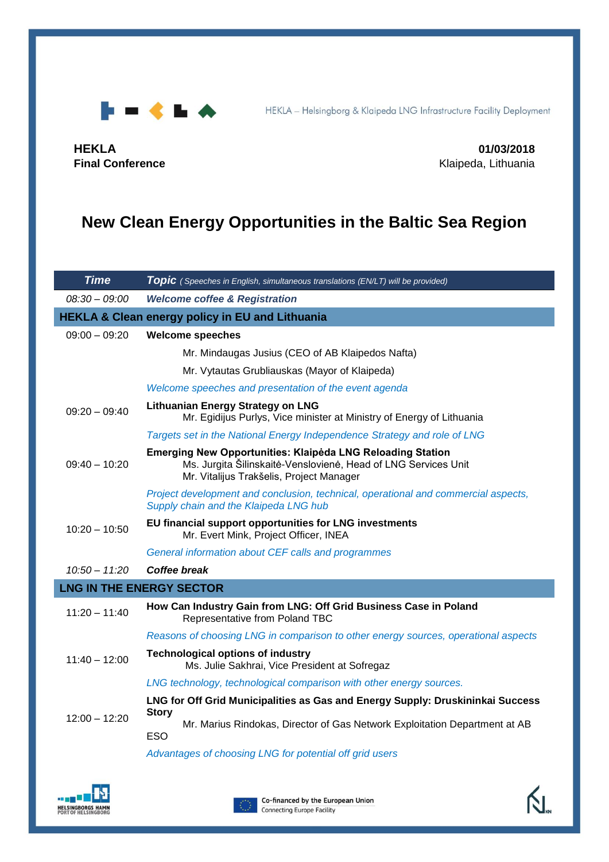

HEKLA - Helsingborg & Klaipeda LNG Infrastructure Facility Deployment

**HEKLA 01/03/2018**

**Final Conference Final Conference Klaipeda, Lithuania** 

# **New Clean Energy Opportunities in the Baltic Sea Region**

| <b>Time</b>                                                | <b>Topic</b> (Speeches in English, simultaneous translations (EN/LT) will be provided)                                                                                                                                                                |  |
|------------------------------------------------------------|-------------------------------------------------------------------------------------------------------------------------------------------------------------------------------------------------------------------------------------------------------|--|
| $08:30 - 09:00$                                            | <b>Welcome coffee &amp; Registration</b>                                                                                                                                                                                                              |  |
| <b>HEKLA &amp; Clean energy policy in EU and Lithuania</b> |                                                                                                                                                                                                                                                       |  |
| $09:00 - 09:20$                                            | <b>Welcome speeches</b>                                                                                                                                                                                                                               |  |
|                                                            | Mr. Mindaugas Jusius (CEO of AB Klaipedos Nafta)                                                                                                                                                                                                      |  |
|                                                            | Mr. Vytautas Grubliauskas (Mayor of Klaipeda)                                                                                                                                                                                                         |  |
|                                                            | Welcome speeches and presentation of the event agenda                                                                                                                                                                                                 |  |
| $09:20 - 09:40$                                            | <b>Lithuanian Energy Strategy on LNG</b><br>Mr. Egidijus Purlys, Vice minister at Ministry of Energy of Lithuania                                                                                                                                     |  |
|                                                            | Targets set in the National Energy Independence Strategy and role of LNG                                                                                                                                                                              |  |
| $09:40 - 10:20$                                            | <b>Emerging New Opportunities: Klaipėda LNG Reloading Station</b><br>Ms. Jurgita Šilinskaitė-Venslovienė, Head of LNG Services Unit<br>Mr. Vitalijus Trakšelis, Project Manager                                                                       |  |
|                                                            | Project development and conclusion, technical, operational and commercial aspects,<br>Supply chain and the Klaipeda LNG hub                                                                                                                           |  |
| $10:20 - 10:50$                                            | EU financial support opportunities for LNG investments<br>Mr. Evert Mink, Project Officer, INEA                                                                                                                                                       |  |
|                                                            | General information about CEF calls and programmes                                                                                                                                                                                                    |  |
| $10:50 - 11:20$                                            | Coffee break                                                                                                                                                                                                                                          |  |
|                                                            | <b>LNG IN THE ENERGY SECTOR</b>                                                                                                                                                                                                                       |  |
| $11:20 - 11:40$                                            | How Can Industry Gain from LNG: Off Grid Business Case in Poland<br>Representative from Poland TBC                                                                                                                                                    |  |
|                                                            | Reasons of choosing LNG in comparison to other energy sources, operational aspects                                                                                                                                                                    |  |
| $11:40 - 12:00$                                            | <b>Technological options of industry</b><br>Ms. Julie Sakhrai, Vice President at Sofregaz                                                                                                                                                             |  |
|                                                            | LNG technology, technological comparison with other energy sources.                                                                                                                                                                                   |  |
| $12:00 - 12:20$                                            | LNG for Off Grid Municipalities as Gas and Energy Supply: Druskininkai Success<br><b>Story</b><br>Mr. Marius Rindokas, Director of Gas Network Exploitation Department at AB<br><b>ESO</b><br>Advantages of choosing LNG for potential off grid users |  |
|                                                            |                                                                                                                                                                                                                                                       |  |



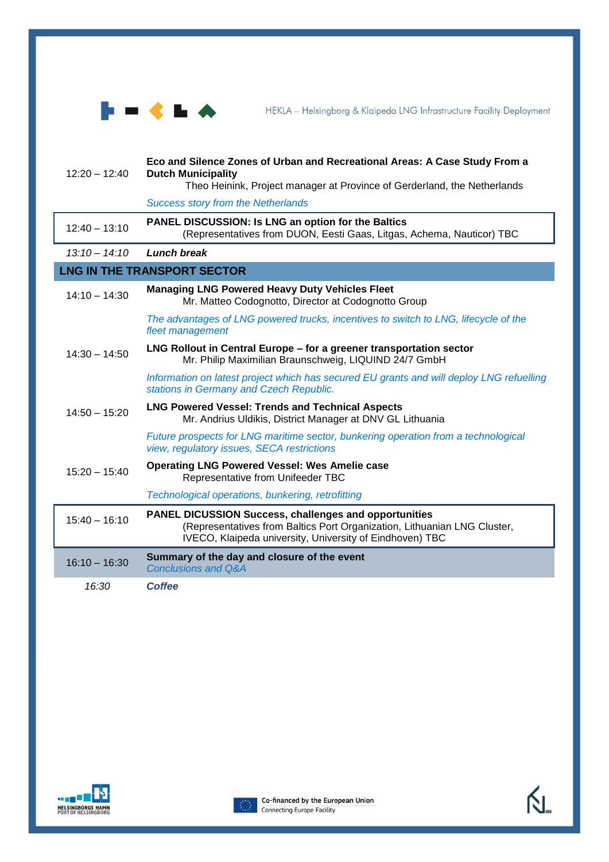

HEKLA - Helsingborg & Klaipeda LNG Infrastructure Facility Deployment

| $12:20 - 12:40$                    | Eco and Silence Zones of Urban and Recreational Areas: A Case Study From a<br><b>Dutch Municipality</b><br>Theo Heinink, Project manager at Province of Gerderland, the Netherlands                  |  |
|------------------------------------|------------------------------------------------------------------------------------------------------------------------------------------------------------------------------------------------------|--|
|                                    | <b>Success story from the Netherlands</b>                                                                                                                                                            |  |
|                                    |                                                                                                                                                                                                      |  |
| $12:40 - 13:10$                    | <b>PANEL DISCUSSION: Is LNG an option for the Baltics</b><br>(Representatives from DUON, Eesti Gaas, Litgas, Achema, Nauticor) TBC                                                                   |  |
| $13:10 - 14:10$                    | Lunch break                                                                                                                                                                                          |  |
| <b>LNG IN THE TRANSPORT SECTOR</b> |                                                                                                                                                                                                      |  |
| $14:10 - 14:30$                    | <b>Managing LNG Powered Heavy Duty Vehicles Fleet</b><br>Mr. Matteo Codognotto, Director at Codognotto Group                                                                                         |  |
|                                    | The advantages of LNG powered trucks, incentives to switch to LNG, lifecycle of the<br>fleet management                                                                                              |  |
| $14:30 - 14:50$                    | LNG Rollout in Central Europe - for a greener transportation sector<br>Mr. Philip Maximilian Braunschweig, LIQUIND 24/7 GmbH                                                                         |  |
|                                    | Information on latest project which has secured EU grants and will deploy LNG refuelling<br>stations in Germany and Czech Republic.                                                                  |  |
| $14:50 - 15:20$                    | <b>LNG Powered Vessel: Trends and Technical Aspects</b><br>Mr. Andrius Uldikis, District Manager at DNV GL Lithuania                                                                                 |  |
|                                    | Future prospects for LNG maritime sector, bunkering operation from a technological<br>view, regulatory issues, SECA restrictions                                                                     |  |
| $15:20 - 15:40$                    | <b>Operating LNG Powered Vessel: Wes Amelie case</b><br>Representative from Unifeeder TBC                                                                                                            |  |
|                                    | Technological operations, bunkering, retrofitting                                                                                                                                                    |  |
| $15:40 - 16:10$                    | <b>PANEL DICUSSION Success, challenges and opportunities</b><br>(Representatives from Baltics Port Organization, Lithuanian LNG Cluster,<br>IVECO, Klaipeda university, University of Eindhoven) TBC |  |
| $16:10 - 16:30$                    | Summary of the day and closure of the event<br><b>Conclusions and Q&amp;A</b>                                                                                                                        |  |
| 16:30                              | <b>Coffee</b>                                                                                                                                                                                        |  |





 $\sum_{\infty}$